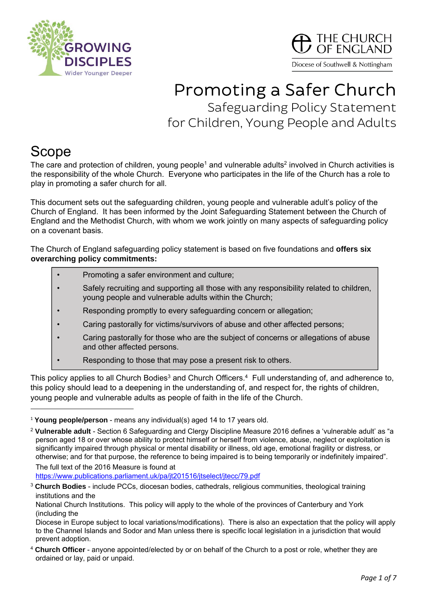



# Promoting a Safer Church Safeguarding Policy Statement for Children, Young People and Adults

## Scope

The care and protection of children, young people<sup>1</sup> and vulnerable adults<sup>2</sup> involved in Church activities is the responsibility of the whole Church. Everyone who participates in the life of the Church has a role to play in promoting a safer church for all.

This document sets out the safeguarding children, young people and vulnerable adult's policy of the Church of England. It has been informed by the Joint Safeguarding Statement between the Church of England and the Methodist Church, with whom we work jointly on many aspects of safeguarding policy on a covenant basis.

The Church of England safeguarding policy statement is based on five foundations and **offers six overarching policy commitments:** 

- Promoting a safer environment and culture;
- Safely recruiting and supporting all those with any responsibility related to children, young people and vulnerable adults within the Church;
- Responding promptly to every safeguarding concern or allegation;
- Caring pastorally for victims/survivors of abuse and other affected persons;
- Caring pastorally for those who are the subject of concerns or allegations of abuse and other affected persons.
- Responding to those that may pose a present risk to others.

This policy applies to all Church Bodies<sup>3</sup> and Church Officers.<sup>4</sup> Full understanding of, and adherence to, this policy should lead to a deepening in the understanding of, and respect for, the rights of children, young people and vulnerable adults as people of faith in the life of the Church.

https://www.publications.parliament.uk/pa/jt201516/jtselect/jtecc/79.pdf

<sup>1</sup> **Young people/person** - means any individual(s) aged 14 to 17 years old.

<sup>2</sup> **Vulnerable adult** - Section 6 Safeguarding and Clergy Discipline Measure 2016 defines a 'vulnerable adult' as "a person aged 18 or over whose ability to protect himself or herself from violence, abuse, neglect or exploitation is significantly impaired through physical or mental disability or illness, old age, emotional fragility or distress, or otherwise; and for that purpose, the reference to being impaired is to being temporarily or indefinitely impaired". The full text of the 2016 Measure is found at

<sup>3</sup> **Church Bodies** - include PCCs, diocesan bodies, cathedrals, religious communities, theological training institutions and the

National Church Institutions. This policy will apply to the whole of the provinces of Canterbury and York (including the

Diocese in Europe subject to local variations/modifications). There is also an expectation that the policy will apply to the Channel Islands and Sodor and Man unless there is specific local legislation in a jurisdiction that would prevent adoption.

<sup>4</sup> **Church Officer** - anyone appointed/elected by or on behalf of the Church to a post or role, whether they are ordained or lay, paid or unpaid.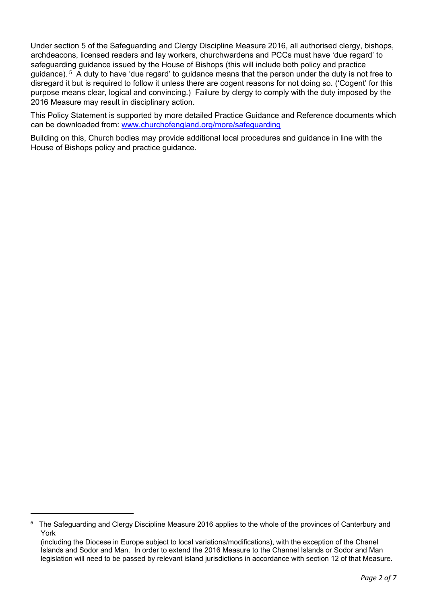Under section 5 of the Safeguarding and Clergy Discipline Measure 2016, all authorised clergy, bishops, archdeacons, licensed readers and lay workers, churchwardens and PCCs must have 'due regard' to safeguarding guidance issued by the House of Bishops (this will include both policy and practice guidance). 5 A duty to have 'due regard' to guidance means that the person under the duty is not free to disregard it but is required to follow it unless there are cogent reasons for not doing so. ('Cogent' for this purpose means clear, logical and convincing.) Failure by clergy to comply with the duty imposed by the 2016 Measure may result in disciplinary action.

This Policy Statement is supported by more detailed Practice Guidance and Reference documents which can be downloaded from: www.churchofengland.org/more/safeguarding

Building on this, Church bodies may provide additional local procedures and guidance in line with the House of Bishops policy and practice guidance.

<sup>&</sup>lt;sup>5</sup> The Safeguarding and Clergy Discipline Measure 2016 applies to the whole of the provinces of Canterbury and York

<sup>(</sup>including the Diocese in Europe subject to local variations/modifications), with the exception of the Chanel Islands and Sodor and Man. In order to extend the 2016 Measure to the Channel Islands or Sodor and Man legislation will need to be passed by relevant island jurisdictions in accordance with section 12 of that Measure.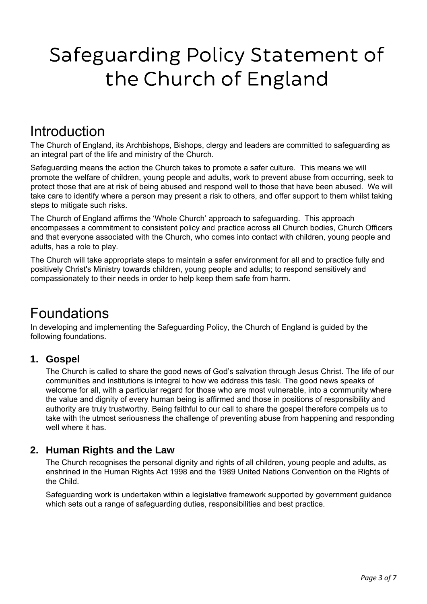# Safeguarding Policy Statement of the Church of England

## **Introduction**

The Church of England, its Archbishops, Bishops, clergy and leaders are committed to safeguarding as an integral part of the life and ministry of the Church.

Safeguarding means the action the Church takes to promote a safer culture. This means we will promote the welfare of children, young people and adults, work to prevent abuse from occurring, seek to protect those that are at risk of being abused and respond well to those that have been abused. We will take care to identify where a person may present a risk to others, and offer support to them whilst taking steps to mitigate such risks.

The Church of England affirms the 'Whole Church' approach to safeguarding. This approach encompasses a commitment to consistent policy and practice across all Church bodies, Church Officers and that everyone associated with the Church, who comes into contact with children, young people and adults, has a role to play.

The Church will take appropriate steps to maintain a safer environment for all and to practice fully and positively Christ's Ministry towards children, young people and adults; to respond sensitively and compassionately to their needs in order to help keep them safe from harm.

## Foundations

In developing and implementing the Safeguarding Policy, the Church of England is guided by the following foundations.

#### **1. Gospel**

 The Church is called to share the good news of God's salvation through Jesus Christ. The life of our communities and institutions is integral to how we address this task. The good news speaks of welcome for all, with a particular regard for those who are most vulnerable, into a community where the value and dignity of every human being is affirmed and those in positions of responsibility and authority are truly trustworthy. Being faithful to our call to share the gospel therefore compels us to take with the utmost seriousness the challenge of preventing abuse from happening and responding well where it has.

#### **2. Human Rights and the Law**

 The Church recognises the personal dignity and rights of all children, young people and adults, as enshrined in the Human Rights Act 1998 and the 1989 United Nations Convention on the Rights of the Child.

 Safeguarding work is undertaken within a legislative framework supported by government guidance which sets out a range of safeguarding duties, responsibilities and best practice.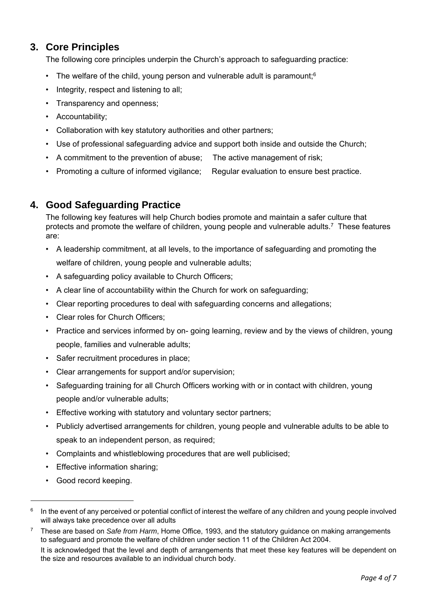#### **3. Core Principles**

The following core principles underpin the Church's approach to safeguarding practice:

- The welfare of the child, young person and vulnerable adult is paramount:  $6$
- Integrity, respect and listening to all;
- Transparency and openness;
- Accountability;
- Collaboration with key statutory authorities and other partners;
- Use of professional safeguarding advice and support both inside and outside the Church;
- A commitment to the prevention of abuse; The active management of risk;
- Promoting a culture of informed vigilance; Regular evaluation to ensure best practice.

#### **4. Good Safeguarding Practice**

 The following key features will help Church bodies promote and maintain a safer culture that protects and promote the welfare of children, young people and vulnerable adults.<sup>7</sup> These features are:

- A leadership commitment, at all levels, to the importance of safeguarding and promoting the welfare of children, young people and vulnerable adults;
- A safeguarding policy available to Church Officers;
- A clear line of accountability within the Church for work on safeguarding;
- Clear reporting procedures to deal with safeguarding concerns and allegations;
- Clear roles for Church Officers;
- Practice and services informed by on- going learning, review and by the views of children, young people, families and vulnerable adults;
- Safer recruitment procedures in place;
- Clear arrangements for support and/or supervision;
- Safeguarding training for all Church Officers working with or in contact with children, young people and/or vulnerable adults;
- Effective working with statutory and voluntary sector partners;
- Publicly advertised arrangements for children, young people and vulnerable adults to be able to speak to an independent person, as required;
- Complaints and whistleblowing procedures that are well publicised;
- Effective information sharing;
- Good record keeping.

<sup>&</sup>lt;sup>6</sup> In the event of any perceived or potential conflict of interest the welfare of any children and young people involved will always take precedence over all adults

<sup>7</sup> These are based on *Safe from Harm*, Home Office, 1993, and the statutory guidance on making arrangements to safeguard and promote the welfare of children under section 11 of the Children Act 2004.

It is acknowledged that the level and depth of arrangements that meet these key features will be dependent on the size and resources available to an individual church body.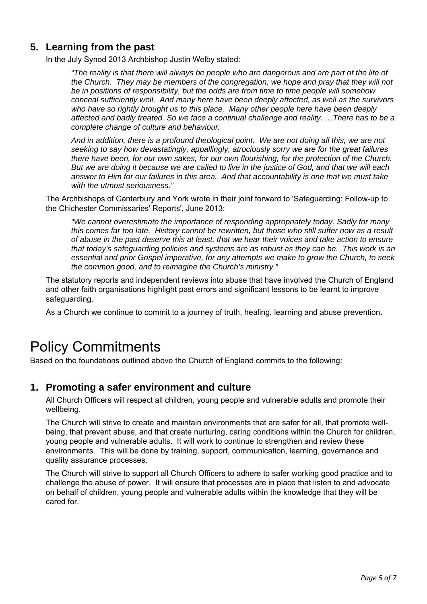#### **5. Learning from the past**

In the July Synod 2013 Archbishop Justin Welby stated:

 *"The reality is that there will always be people who are dangerous and are part of the life of the Church. They may be members of the congregation; we hope and pray that they will not be in positions of responsibility, but the odds are from time to time people will somehow conceal sufficiently well. And many here have been deeply affected, as well as the survivors who have so rightly brought us to this place. Many other people here have been deeply affected and badly treated. So we face a continual challenge and reality. …There has to be a complete change of culture and behaviour.* 

*And in addition, there is a profound theological point. We are not doing all this, we are not seeking to say how devastatingly, appallingly, atrociously sorry we are for the great failures there have been, for our own sakes, for our own flourishing, for the protection of the Church. But we are doing it because we are called to live in the justice of God, and that we will each answer to Him for our failures in this area. And that accountability is one that we must take with the utmost seriousness."* 

The Archbishops of Canterbury and York wrote in their joint forward to 'Safeguarding: Follow-up to the Chichester Commissaries' Reports', June 2013:

*"We cannot overestimate the importance of responding appropriately today. Sadly for many this comes far too late. History cannot be rewritten, but those who still suffer now as a result of abuse in the past deserve this at least, that we hear their voices and take action to ensure that today's safeguarding policies and systems are as robust as they can be. This work is an essential and prior Gospel imperative, for any attempts we make to grow the Church, to seek the common good, and to reimagine the Church's ministry."* 

The statutory reports and independent reviews into abuse that have involved the Church of England and other faith organisations highlight past errors and significant lessons to be learnt to improve safeguarding.

As a Church we continue to commit to a journey of truth, healing, learning and abuse prevention.

## Policy Commitments

Based on the foundations outlined above the Church of England commits to the following:

#### **1. Promoting a safer environment and culture**

All Church Officers will respect all children, young people and vulnerable adults and promote their wellbeing.

The Church will strive to create and maintain environments that are safer for all, that promote wellbeing, that prevent abuse, and that create nurturing, caring conditions within the Church for children, young people and vulnerable adults. It will work to continue to strengthen and review these environments. This will be done by training, support, communication, learning, governance and quality assurance processes.

The Church will strive to support all Church Officers to adhere to safer working good practice and to challenge the abuse of power. It will ensure that processes are in place that listen to and advocate on behalf of children, young people and vulnerable adults within the knowledge that they will be cared for.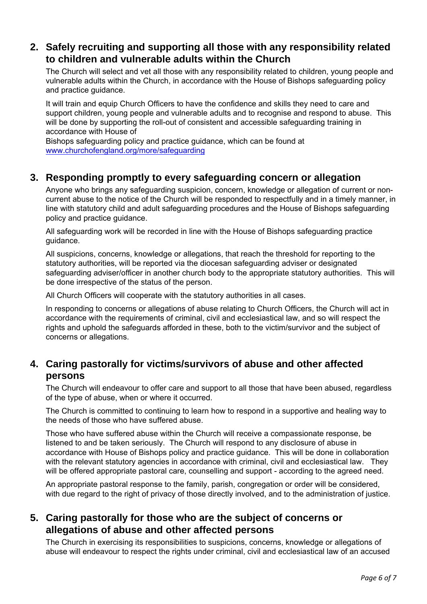#### **2. Safely recruiting and supporting all those with any responsibility related to children and vulnerable adults within the Church**

The Church will select and vet all those with any responsibility related to children, young people and vulnerable adults within the Church, in accordance with the House of Bishops safeguarding policy and practice guidance.

It will train and equip Church Officers to have the confidence and skills they need to care and support children, young people and vulnerable adults and to recognise and respond to abuse. This will be done by supporting the roll-out of consistent and accessible safeguarding training in accordance with House of

Bishops safeguarding policy and practice guidance, which can be found at www.churchofengland.org/more/safeguarding

#### **3. Responding promptly to every safeguarding concern or allegation**

Anyone who brings any safeguarding suspicion, concern, knowledge or allegation of current or noncurrent abuse to the notice of the Church will be responded to respectfully and in a timely manner, in line with statutory child and adult safeguarding procedures and the House of Bishops safeguarding policy and practice guidance.

All safeguarding work will be recorded in line with the House of Bishops safeguarding practice guidance.

All suspicions, concerns, knowledge or allegations, that reach the threshold for reporting to the statutory authorities, will be reported via the diocesan safeguarding adviser or designated safeguarding adviser/officer in another church body to the appropriate statutory authorities. This will be done irrespective of the status of the person.

All Church Officers will cooperate with the statutory authorities in all cases.

In responding to concerns or allegations of abuse relating to Church Officers, the Church will act in accordance with the requirements of criminal, civil and ecclesiastical law, and so will respect the rights and uphold the safeguards afforded in these, both to the victim/survivor and the subject of concerns or allegations.

#### **4. Caring pastorally for victims/survivors of abuse and other affected persons**

The Church will endeavour to offer care and support to all those that have been abused, regardless of the type of abuse, when or where it occurred.

The Church is committed to continuing to learn how to respond in a supportive and healing way to the needs of those who have suffered abuse.

Those who have suffered abuse within the Church will receive a compassionate response, be listened to and be taken seriously. The Church will respond to any disclosure of abuse in accordance with House of Bishops policy and practice guidance. This will be done in collaboration with the relevant statutory agencies in accordance with criminal, civil and ecclesiastical law. They will be offered appropriate pastoral care, counselling and support - according to the agreed need.

An appropriate pastoral response to the family, parish, congregation or order will be considered, with due regard to the right of privacy of those directly involved, and to the administration of justice.

#### **5. Caring pastorally for those who are the subject of concerns or allegations of abuse and other affected persons**

The Church in exercising its responsibilities to suspicions, concerns, knowledge or allegations of abuse will endeavour to respect the rights under criminal, civil and ecclesiastical law of an accused